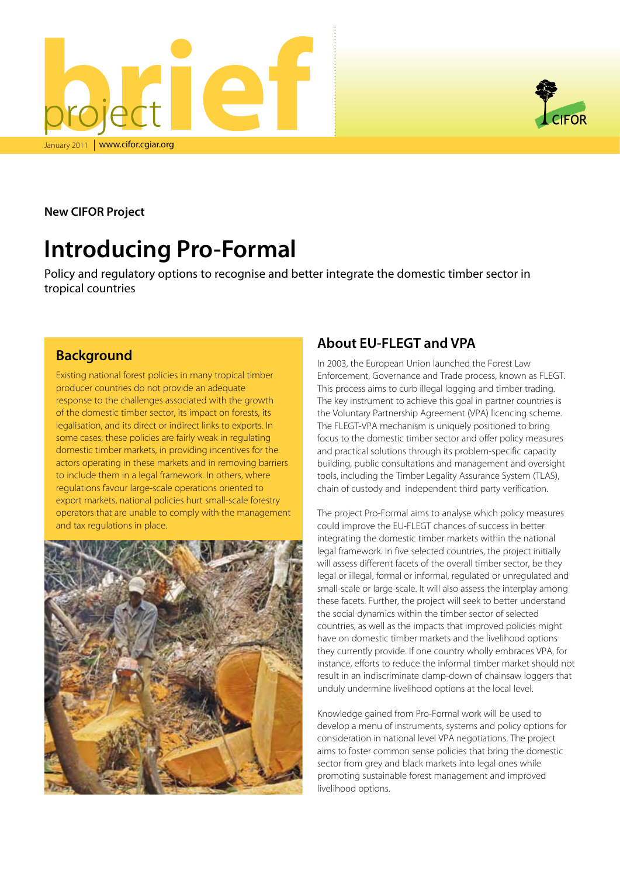



**New CIFOR Project**

# **Introducing Pro-Formal**

Policy and regulatory options to recognise and better integrate the domestic timber sector in tropical countries

#### **Background**

Existing national forest policies in many tropical timber producer countries do not provide an adequate response to the challenges associated with the growth of the domestic timber sector, its impact on forests, its legalisation, and its direct or indirect links to exports. In some cases, these policies are fairly weak in regulating domestic timber markets, in providing incentives for the actors operating in these markets and in removing barriers to include them in a legal framework. In others, where regulations favour large-scale operations oriented to export markets, national policies hurt small-scale forestry operators that are unable to comply with the management and tax regulations in place.



### **About EU-FLEGT and VPA**

In 2003, the European Union launched the Forest Law Enforcement, Governance and Trade process, known as FLEGT. This process aims to curb illegal logging and timber trading. The key instrument to achieve this goal in partner countries is the Voluntary Partnership Agreement (VPA) licencing scheme. The FLEGT-VPA mechanism is uniquely positioned to bring focus to the domestic timber sector and offer policy measures and practical solutions through its problem-specific capacity building, public consultations and management and oversight tools, including the Timber Legality Assurance System (TLAS), chain of custody and independent third party verification.

The project Pro-Formal aims to analyse which policy measures could improve the EU-FLEGT chances of success in better integrating the domestic timber markets within the national legal framework. In five selected countries, the project initially will assess different facets of the overall timber sector, be they legal or illegal, formal or informal, regulated or unregulated and small-scale or large-scale. It will also assess the interplay among these facets. Further, the project will seek to better understand the social dynamics within the timber sector of selected countries, as well as the impacts that improved policies might have on domestic timber markets and the livelihood options they currently provide. If one country wholly embraces VPA, for instance, efforts to reduce the informal timber market should not result in an indiscriminate clamp-down of chainsaw loggers that unduly undermine livelihood options at the local level.

Knowledge gained from Pro-Formal work will be used to develop a menu of instruments, systems and policy options for consideration in national level VPA negotiations. The project aims to foster common sense policies that bring the domestic sector from grey and black markets into legal ones while promoting sustainable forest management and improved livelihood options.